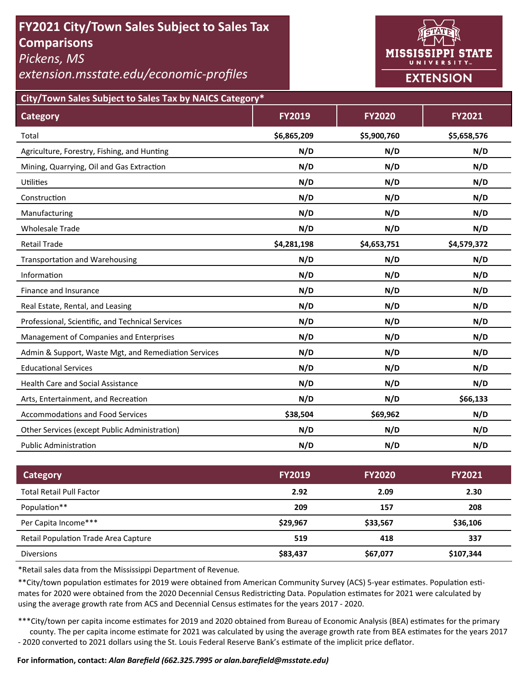# **FY2021 City/Town Sales Subject to Sales Tax Comparisons**

*Pickens, MS* 

*extension.msstate.edu/economic‐profiles* 



**City/Town Sales Subject to Sales Tax by NAICS Category\***

| <b>Category</b>                                      | <b>FY2019</b> | <b>FY2020</b> | FY2021      |
|------------------------------------------------------|---------------|---------------|-------------|
| Total                                                | \$6,865,209   | \$5,900,760   | \$5,658,576 |
| Agriculture, Forestry, Fishing, and Hunting          | N/D           | N/D           | N/D         |
| Mining, Quarrying, Oil and Gas Extraction            | N/D           | N/D           | N/D         |
| <b>Utilities</b>                                     | N/D           | N/D           | N/D         |
| Construction                                         | N/D           | N/D           | N/D         |
| Manufacturing                                        | N/D           | N/D           | N/D         |
| <b>Wholesale Trade</b>                               | N/D           | N/D           | N/D         |
| <b>Retail Trade</b>                                  | \$4,281,198   | \$4,653,751   | \$4,579,372 |
| <b>Transportation and Warehousing</b>                | N/D           | N/D           | N/D         |
| Information                                          | N/D           | N/D           | N/D         |
| Finance and Insurance                                | N/D           | N/D           | N/D         |
| Real Estate, Rental, and Leasing                     | N/D           | N/D           | N/D         |
| Professional, Scientific, and Technical Services     | N/D           | N/D           | N/D         |
| Management of Companies and Enterprises              | N/D           | N/D           | N/D         |
| Admin & Support, Waste Mgt, and Remediation Services | N/D           | N/D           | N/D         |
| <b>Educational Services</b>                          | N/D           | N/D           | N/D         |
| <b>Health Care and Social Assistance</b>             | N/D           | N/D           | N/D         |
| Arts, Entertainment, and Recreation                  | N/D           | N/D           | \$66,133    |
| Accommodations and Food Services                     | \$38,504      | \$69,962      | N/D         |
| Other Services (except Public Administration)        | N/D           | N/D           | N/D         |
| <b>Public Administration</b>                         | N/D           | N/D           | N/D         |

| <b>Category</b>                      | <b>FY2019</b> | <b>FY2020</b> | <b>FY2021</b> |
|--------------------------------------|---------------|---------------|---------------|
| <b>Total Retail Pull Factor</b>      | 2.92          | 2.09          | 2.30          |
| Population**                         | 209           | 157           | 208           |
| Per Capita Income***                 | \$29,967      | \$33,567      | \$36,106      |
| Retail Population Trade Area Capture | 519           | 418           | 337           |
| <b>Diversions</b>                    | \$83,437      | \$67,077      | \$107,344     |

\*Retail sales data from the Mississippi Department of Revenue*.* 

\*\*City/town population estimates for 2019 were obtained from American Community Survey (ACS) 5-year estimates. Population estimates for 2020 were obtained from the 2020 Decennial Census Redistricting Data. Population estimates for 2021 were calculated by using the average growth rate from ACS and Decennial Census estimates for the years 2017 - 2020.

\*\*\*City/town per capita income estimates for 2019 and 2020 obtained from Bureau of Economic Analysis (BEA) estimates for the primary county. The per capita income estimate for 2021 was calculated by using the average growth rate from BEA estimates for the years 2017 - 2020 converted to 2021 dollars using the St. Louis Federal Reserve Bank's estimate of the implicit price deflator.

### **For informaƟon, contact:** *Alan Barefield (662.325.7995 or alan.barefield@msstate.edu)*